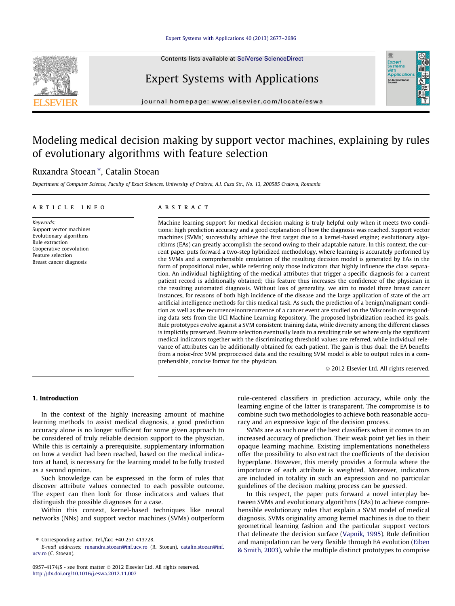Contents lists available at [SciVerse ScienceDirect](http://www.sciencedirect.com/science/journal/09574174)

## Expert Systems with Applications



journal homepage: [www.elsevier.com/locate/eswa](http://www.elsevier.com/locate/eswa)

## Modeling medical decision making by support vector machines, explaining by rules of evolutionary algorithms with feature selection

### Ruxandra Stoean<sup>\*</sup>, Catalin Stoean

Department of Computer Science, Faculty of Exact Sciences, University of Craiova, A.I. Cuza Str., No. 13, 200585 Craiova, Romania

#### article info

Keywords: Support vector machines Evolutionary algorithms Rule extraction Cooperative coevolution Feature selection Breast cancer diagnosis

#### **ABSTRACT**

Machine learning support for medical decision making is truly helpful only when it meets two conditions: high prediction accuracy and a good explanation of how the diagnosis was reached. Support vector machines (SVMs) successfully achieve the first target due to a kernel-based engine; evolutionary algorithms (EAs) can greatly accomplish the second owing to their adaptable nature. In this context, the current paper puts forward a two-step hybridized methodology, where learning is accurately performed by the SVMs and a comprehensible emulation of the resulting decision model is generated by EAs in the form of propositional rules, while referring only those indicators that highly influence the class separation. An individual highlighting of the medical attributes that trigger a specific diagnosis for a current patient record is additionally obtained; this feature thus increases the confidence of the physician in the resulting automated diagnosis. Without loss of generality, we aim to model three breast cancer instances, for reasons of both high incidence of the disease and the large application of state of the art artificial intelligence methods for this medical task. As such, the prediction of a benign/malignant condition as well as the recurrence/nonrecurrence of a cancer event are studied on the Wisconsin corresponding data sets from the UCI Machine Learning Repository. The proposed hybridization reached its goals. Rule prototypes evolve against a SVM consistent training data, while diversity among the different classes is implicitly preserved. Feature selection eventually leads to a resulting rule set where only the significant medical indicators together with the discriminating threshold values are referred, while individual relevance of attributes can be additionally obtained for each patient. The gain is thus dual: the EA benefits from a noise-free SVM preprocessed data and the resulting SVM model is able to output rules in a comprehensible, concise format for the physician.

- 2012 Elsevier Ltd. All rights reserved.

#### 1. Introduction

In the context of the highly increasing amount of machine learning methods to assist medical diagnosis, a good prediction accuracy alone is no longer sufficient for some given approach to be considered of truly reliable decision support to the physician. While this is certainly a prerequisite, supplementary information on how a verdict had been reached, based on the medical indicators at hand, is necessary for the learning model to be fully trusted as a second opinion.

Such knowledge can be expressed in the form of rules that discover attribute values connected to each possible outcome. The expert can then look for those indicators and values that distinguish the possible diagnoses for a case.

Within this context, kernel-based techniques like neural networks (NNs) and support vector machines (SVMs) outperform rule-centered classifiers in prediction accuracy, while only the learning engine of the latter is transparent. The compromise is to combine such two methodologies to achieve both reasonable accuracy and an expressive logic of the decision process.

SVMs are as such one of the best classifiers when it comes to an increased accuracy of prediction. Their weak point yet lies in their opaque learning machine. Existing implementations nonetheless offer the possibility to also extract the coefficients of the decision hyperplane. However, this merely provides a formula where the importance of each attribute is weighted. Moreover, indicators are included in totality in such an expression and no particular guidelines of the decision making process can be guessed.

In this respect, the paper puts forward a novel interplay between SVMs and evolutionary algorithms (EAs) to achieve comprehensible evolutionary rules that explain a SVM model of medical diagnosis. SVMs originality among kernel machines is due to their geometrical learning fashion and the particular support vectors that delineate the decision surface ([Vapnik, 1995\)](#page--1-0). Rule definition and manipulation can be very flexible through EA evolution ([Eiben](#page--1-0) [& Smith, 2003\)](#page--1-0), while the multiple distinct prototypes to comprise

 $*$  Corresponding author. Tel./fax:  $+40$  251 413728.

E-mail addresses: [ruxandra.stoean@inf.ucv.ro](mailto:ruxandra.stoean@inf.ucv.ro) (R. Stoean), [catalin.stoean@inf.](mailto:catalin.stoean@inf. ucv.ro) [ucv.ro](mailto:catalin.stoean@inf. ucv.ro) (C. Stoean).

<sup>0957-4174/\$ -</sup> see front matter © 2012 Elsevier Ltd. All rights reserved. <http://dx.doi.org/10.1016/j.eswa.2012.11.007>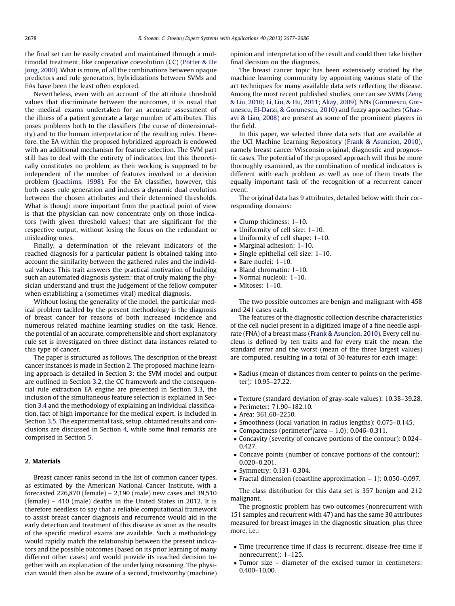the final set can be easily created and maintained through a multimodal treatment, like cooperative coevolution (CC) [\(Potter & De](#page--1-0) [Jong, 2000\)](#page--1-0). What is more, of all the combinations between opaque predictors and rule generators, hybridizations between SVMs and EAs have been the least often explored.

Nevertheless, even with an account of the attribute threshold values that discriminate between the outcomes, it is usual that the medical exams undertaken for an accurate assessment of the illness of a patient generate a large number of attributes. This poses problems both to the classifiers (the curse of dimensionality) and to the human interpretation of the resulting rules. Therefore, the EA within the proposed hybridized approach is endowed with an additional mechanism for feature selection. The SVM part still has to deal with the entirety of indicators, but this theoretically constitutes no problem, as their working is supposed to be independent of the number of features involved in a decision problem [\(Joachims, 1998](#page--1-0)). For the EA classifier, however, this both eases rule generation and induces a dynamic dual evolution between the chosen attributes and their determined thresholds. What is though more important from the practical point of view is that the physician can now concentrate only on those indicators (with given threshold values) that are significant for the respective output, without losing the focus on the redundant or misleading ones.

Finally, a determination of the relevant indicators of the reached diagnosis for a particular patient is obtained taking into account the similarity between the gathered rules and the individual values. This trait answers the practical motivation of building such an automated diagnosis system: that of truly making the physician understand and trust the judgement of the fellow computer when establishing a (sometimes vital) medical diagnosis.

Without losing the generality of the model, the particular medical problem tackled by the present methodology is the diagnosis of breast cancer for reasons of both increased incidence and numerous related machine learning studies on the task. Hence, the potential of an accurate, comprehensible and short explanatory rule set is investigated on three distinct data instances related to this type of cancer.

The paper is structured as follows. The description of the breast cancer instances is made in Section 2. The proposed machine learning approach is detailed in Section [3](#page--1-0): the SVM model and output are outlined in Section [3.2,](#page--1-0) the CC framework and the consequential rule extraction EA engine are presented in Section [3.3,](#page--1-0) the inclusion of the simultaneous feature selection is explained in Section [3.4](#page--1-0) and the methodology of explaining an individual classification, fact of high importance for the medical expert, is included in Section [3.5.](#page--1-0) The experimental task, setup, obtained results and conclusions are discussed in Section [4](#page--1-0), while some final remarks are comprised in Section [5.](#page--1-0)

#### 2. Materials

Breast cancer ranks second in the list of common cancer types, as estimated by the American National Cancer Institute, with a forecasted 226,870 (female) – 2,190 (male) new cases and 39,510 (female) – 410 (male) deaths in the United States in 2012. It is therefore needless to say that a reliable computational framework to assist breast cancer diagnosis and recurrence would aid in the early detection and treatment of this disease as soon as the results of the specific medical exams are available. Such a methodology would rapidly match the relationship between the present indicators and the possible outcomes (based on its prior learning of many different other cases) and would provide its reached decision together with an explanation of the underlying reasoning. The physician would then also be aware of a second, trustworthy (machine) opinion and interpretation of the result and could then take his/her final decision on the diagnosis.

The breast cancer topic has been extensively studied by the machine learning community by appointing various state of the art techniques for many available data sets reflecting the disease. Among the most recent published studies, one can see SVMs ([Zeng](#page--1-0) [& Liu, 2010; Li, Liu, & Hu, 2011; Akay, 2009](#page--1-0)), NNs [\(Gorunescu, Gor](#page--1-0)[unescu, El-Darzi, & Gorunescu, 2010](#page--1-0)) and fuzzy approaches [\(Ghaz](#page--1-0)[avi & Liao, 2008\)](#page--1-0) are present as some of the prominent players in the field.

In this paper, we selected three data sets that are available at the UCI Machine Learning Repository [\(Frank & Asuncion, 2010\)](#page--1-0), namely breast cancer Wisconsin original, diagnostic and prognostic cases. The potential of the proposed approach will thus be more thoroughly examined, as the combination of medical indicators is different with each problem as well as one of them treats the equally important task of the recognition of a recurrent cancer event.

The original data has 9 attributes, detailed below with their corresponding domains:

- Clump thickness: 1–10.
- Uniformity of cell size: 1–10.
- Uniformity of cell shape: 1–10.
- Marginal adhesion: 1–10.
- Single epithelial cell size: 1–10.
- Bare nuclei: 1–10.
- Bland chromatin: 1–10.
- Normal nucleoli: 1–10.
- Mitoses: 1–10.

The two possible outcomes are benign and malignant with 458 and 241 cases each.

The features of the diagnostic collection describe characteristics of the cell nuclei present in a digitized image of a fine needle aspirate (FNA) of a breast mass ([Frank & Asuncion, 2010\)](#page--1-0). Every cell nucleus is defined by ten traits and for every trait the mean, the standard error and the worst (mean of the three largest values) are computed, resulting in a total of 30 features for each image:

- Radius (mean of distances from center to points on the perimeter): 10.95–27.22.
- Texture (standard deviation of gray-scale values): 10.38–39.28.
- Perimeter: 71.90–182.10.
- Area: 361.60–2250.
- Smoothness (local variation in radius lengths): 0.075–0.145.
- $\bullet$  Compactness (perimeter<sup>2</sup>/area 1.0): 0.046-0.311.
- Concavity (severity of concave portions of the contour): 0.024– 0.427.
- Concave points (number of concave portions of the contour): 0.020–0.201.
- Symmetry: 0.131–0.304.
- Fractal dimension (coastline approximation  $-1$ ): 0.050–0.097.

The class distribution for this data set is 357 benign and 212 malignant.

The prognostic problem has two outcomes (nonrecurrent with 151 samples and recurrent with 47) and has the same 30 attributes measured for breast images in the diagnostic situation, plus three more, i.e.:

- Time (recurrence time if class is recurrent, disease-free time if nonrecurrent): 1–125.
- Tumor size diameter of the excised tumor in centimeters: 0.400–10.00.